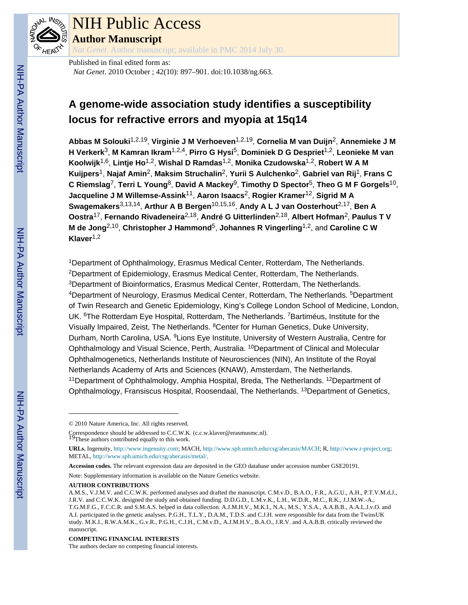

# NIH Public Access

**Author Manuscript**

*Nat Genet*. Author manuscript; available in PMC 2014 July 30.

Published in final edited form as: *Nat Genet*. 2010 October ; 42(10): 897–901. doi:10.1038/ng.663.

# **A genome-wide association study identifies a susceptibility locus for refractive errors and myopia at 15q14**

**Abbas M Solouki**1,2,19, **Virginie J M Verhoeven**1,2,19, **Cornelia M van Duijn**2, **Annemieke J M H Verkerk**3, **M Kamran Ikram**1,2,4, **Pirro G Hysi**5, **Dominiek D G Despriet**1,2, **Leonieke M van Koolwijk**1,6, **Lintje Ho**1,2, **Wishal D Ramdas**1,2, **Monika Czudowska**1,2, **Robert W A M Kuijpers**1, **Najaf Amin**2, **Maksim Struchalin**2, **Yurii S Aulchenko**2, **Gabriel van Rij**1, **Frans C C Riemslag**7, **Terri L Young**8, **David A Mackey**9, **Timothy D Spector**5, **Theo G M F Gorgels**10, **Jacqueline J M Willemse-Assink**11, **Aaron Isaacs**2, **Rogier Kramer**12, **Sigrid M A Swagemakers**3,13,14, **Arthur A B Bergen**10,15,16, **Andy A L J van Oosterhout**2,17, **Ben A Oostra**17, **Fernando Rivadeneira**2,18, **André G Uitterlinden**2,18, **Albert Hofman**2, **Paulus T V M de Jong**2,10, **Christopher J Hammond**5, **Johannes R Vingerling**1,2, and **Caroline C W Klaver**1,2

<sup>1</sup>Department of Ophthalmology, Erasmus Medical Center, Rotterdam, The Netherlands. <sup>2</sup>Department of Epidemiology, Erasmus Medical Center, Rotterdam, The Netherlands. <sup>3</sup>Department of Bioinformatics, Erasmus Medical Center, Rotterdam, The Netherlands. <sup>4</sup>Department of Neurology, Erasmus Medical Center, Rotterdam, The Netherlands. <sup>5</sup>Department of Twin Research and Genetic Epidemiology, King's College London School of Medicine, London, UK. <sup>6</sup>The Rotterdam Eye Hospital, Rotterdam, The Netherlands. <sup>7</sup>Bartiméus, Institute for the Visually Impaired, Zeist, The Netherlands. <sup>8</sup>Center for Human Genetics, Duke University, Durham, North Carolina, USA. <sup>9</sup>Lions Eye Institute, University of Western Australia, Centre for Ophthalmology and Visual Science, Perth, Australia. <sup>10</sup>Department of Clinical and Molecular Ophthalmogenetics, Netherlands Institute of Neurosciences (NIN), An Institute of the Royal Netherlands Academy of Arts and Sciences (KNAW), Amsterdam, The Netherlands. <sup>11</sup>Department of Ophthalmology, Amphia Hospital, Breda, The Netherlands. <sup>12</sup>Department of Ophthalmology, Fransiscus Hospital, Roosendaal, The Netherlands. <sup>13</sup>Department of Genetics,

Correspondence should be addressed to C.C.W.K. (c.c.w.klaver@erasmusmc.nl).<br><sup>19</sup>These authors contributed equally to this work.

Note: Supplementary information is available on the Nature Genetics website.

#### **COMPETING FINANCIAL INTERESTS**

The authors declare no competing financial interests.

<sup>© 2010</sup> Nature America, Inc. All rights reserved.

**URLs.** Ingenuity, <http://www.ingenuity.com>; MACH,<http://www.sph.umich.edu/csg/abecasis/MACH>; R, [http://www.r-project.org;](http://www.r-project.org) METAL, [http://www.sph.umich.edu/csg/abecasis/metal/.](http://www.sph.umich.edu/csg/abecasis/metal/)

**Accession codes.** The relevant expression data are deposited in the GEO database under accession number GSE20191.

**AUTHOR CONTRIBUTIONS**

A.M.S., V.J.M.V. and C.C.W.K. performed analyses and drafted the manuscript. C.M.v.D., B.A.O., F.R., A.G.U., A.H., P.T.V.M.d.J., J.R.V. and C.C.W.K. designed the study and obtained funding. D.D.G.D., L.M.v.K., L.H., W.D.R., M.C., R.K., J.J.M.W.-A., T.G.M.F.G., F.C.C.R. and S.M.A.S. helped in data collection. A.J.M.H.V., M.K.I., N.A., M.S., Y.S.A., A.A.B.B., A.A.L.J.v.O. and A.I. participated in the genetic analyses. P.G.H., T.L.Y., D.A.M., T.D.S. and C.J.H. were responsible for data from the TwinsUK study. M.K.I., R.W.A.M.K., G.v.R., P.G.H., C.J.H., C.M.v.D., A.J.M.H.V., B.A.O., J.R.V. and A.A.B.B. critically reviewed the manuscript.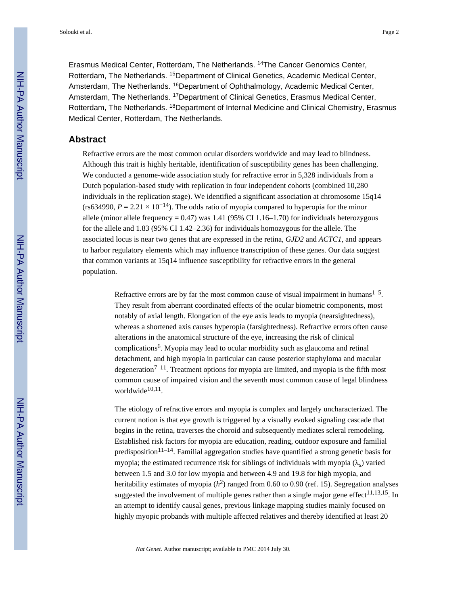Erasmus Medical Center, Rotterdam, The Netherlands. <sup>14</sup>The Cancer Genomics Center, Rotterdam, The Netherlands. <sup>15</sup>Department of Clinical Genetics, Academic Medical Center, Amsterdam, The Netherlands. <sup>16</sup>Department of Ophthalmology, Academic Medical Center, Amsterdam, The Netherlands. <sup>17</sup>Department of Clinical Genetics, Erasmus Medical Center, Rotterdam, The Netherlands. <sup>18</sup>Department of Internal Medicine and Clinical Chemistry, Erasmus Medical Center, Rotterdam, The Netherlands.

# **Abstract**

Refractive errors are the most common ocular disorders worldwide and may lead to blindness. Although this trait is highly heritable, identification of susceptibility genes has been challenging. We conducted a genome-wide association study for refractive error in 5,328 individuals from a Dutch population-based study with replication in four independent cohorts (combined 10,280 individuals in the replication stage). We identified a significant association at chromosome 15q14 (rs634990,  $P = 2.21 \times 10^{-14}$ ). The odds ratio of myopia compared to hyperopia for the minor allele (minor allele frequency =  $0.47$ ) was 1.41 (95% CI 1.16–1.70) for individuals heterozygous for the allele and 1.83 (95% CI 1.42–2.36) for individuals homozygous for the allele. The associated locus is near two genes that are expressed in the retina, *GJD2* and *ACTC1*, and appears to harbor regulatory elements which may influence transcription of these genes. Our data suggest that common variants at 15q14 influence susceptibility for refractive errors in the general population.

> Refractive errors are by far the most common cause of visual impairment in humans $1-5$ . They result from aberrant coordinated effects of the ocular biometric components, most notably of axial length. Elongation of the eye axis leads to myopia (nearsightedness), whereas a shortened axis causes hyperopia (farsightedness). Refractive errors often cause alterations in the anatomical structure of the eye, increasing the risk of clinical complications<sup>6</sup>. Myopia may lead to ocular morbidity such as glaucoma and retinal detachment, and high myopia in particular can cause posterior staphyloma and macular degeneration<sup> $7-11$ </sup>. Treatment options for myopia are limited, and myopia is the fifth most common cause of impaired vision and the seventh most common cause of legal blindness worldwide<sup>10,11</sup>.

The etiology of refractive errors and myopia is complex and largely uncharacterized. The current notion is that eye growth is triggered by a visually evoked signaling cascade that begins in the retina, traverses the choroid and subsequently mediates scleral remodeling. Established risk factors for myopia are education, reading, outdoor exposure and familial predisposition<sup>11–14</sup>. Familial aggregation studies have quantified a strong genetic basis for myopia; the estimated recurrence risk for siblings of individuals with myopia  $(\lambda_s)$  varied between 1.5 and 3.0 for low myopia and between 4.9 and 19.8 for high myopia, and heritability estimates of myopia ( $h^2$ ) ranged from 0.60 to 0.90 (ref. 15). Segregation analyses suggested the involvement of multiple genes rather than a single major gene effect  $11,13,15$ . In an attempt to identify causal genes, previous linkage mapping studies mainly focused on highly myopic probands with multiple affected relatives and thereby identified at least 20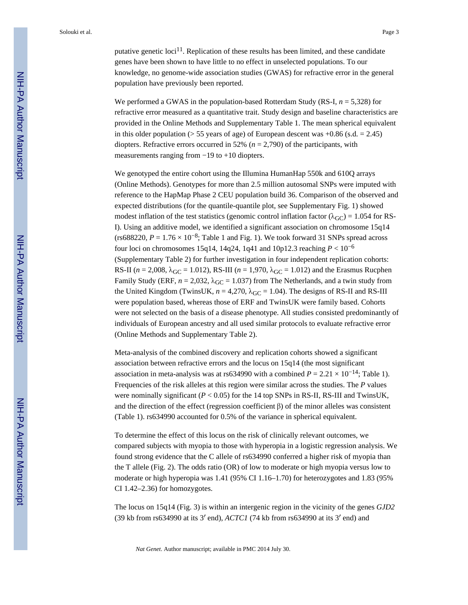Solouki et al. Page 3

putative genetic  $\text{loc}^{11}$ . Replication of these results has been limited, and these candidate genes have been shown to have little to no effect in unselected populations. To our knowledge, no genome-wide association studies (GWAS) for refractive error in the general population have previously been reported.

We performed a GWAS in the population-based Rotterdam Study (RS-I, *n* = 5,328) for refractive error measured as a quantitative trait. Study design and baseline characteristics are provided in the Online Methods and Supplementary Table 1. The mean spherical equivalent in this older population ( $> 55$  years of age) of European descent was  $+0.86$  (s.d.  $= 2.45$ ) diopters. Refractive errors occurred in 52% (*n* = 2,790) of the participants, with measurements ranging from  $-19$  to  $+10$  diopters.

We genotyped the entire cohort using the Illumina HumanHap 550k and 6100 arrays (Online Methods). Genotypes for more than 2.5 million autosomal SNPs were imputed with reference to the HapMap Phase 2 CEU population build 36. Comparison of the observed and expected distributions (for the quantile-quantile plot, see Supplementary Fig. 1) showed modest inflation of the test statistics (genomic control inflation factor ( $\lambda_{\text{GC}}$ ) = 1.054 for RS-I). Using an additive model, we identified a significant association on chromosome 15q14 (rs688220,  $P = 1.76 \times 10^{-8}$ ; Table 1 and Fig. 1). We took forward 31 SNPs spread across four loci on chromosomes 15q14, 14q24, 1q41 and 10p12.3 reaching *P* < 10−6 (Supplementary Table 2) for further investigation in four independent replication cohorts: RS-II ( $n = 2,008$ ,  $\lambda_{\text{GC}} = 1.012$ ), RS-III ( $n = 1,970$ ,  $\lambda_{\text{GC}} = 1.012$ ) and the Erasmus Rucphen Family Study (ERF,  $n = 2.032$ ,  $\lambda_{\text{GC}} = 1.037$ ) from The Netherlands, and a twin study from the United Kingdom (TwinsUK,  $n = 4,270$ ,  $\lambda_{\text{GC}} = 1.04$ ). The designs of RS-II and RS-III were population based, whereas those of ERF and TwinsUK were family based. Cohorts were not selected on the basis of a disease phenotype. All studies consisted predominantly of individuals of European ancestry and all used similar protocols to evaluate refractive error (Online Methods and Supplementary Table 2).

Meta-analysis of the combined discovery and replication cohorts showed a significant association between refractive errors and the locus on 15q14 (the most significant association in meta-analysis was at rs634990 with a combined  $P = 2.21 \times 10^{-14}$ ; Table 1). Frequencies of the risk alleles at this region were similar across the studies. The *P* values were nominally significant  $(P < 0.05)$  for the 14 top SNPs in RS-II, RS-III and TwinsUK, and the direction of the effect (regression coefficient β) of the minor alleles was consistent (Table 1). rs634990 accounted for 0.5% of the variance in spherical equivalent.

To determine the effect of this locus on the risk of clinically relevant outcomes, we compared subjects with myopia to those with hyperopia in a logistic regression analysis. We found strong evidence that the C allele of rs634990 conferred a higher risk of myopia than the T allele (Fig. 2). The odds ratio (OR) of low to moderate or high myopia versus low to moderate or high hyperopia was 1.41 (95% CI 1.16–1.70) for heterozygotes and 1.83 (95% CI 1.42–2.36) for homozygotes.

The locus on 15q14 (Fig. 3) is within an intergenic region in the vicinity of the genes *GJD2* (39 kb from rs634990 at its 3′ end), *ACTC1* (74 kb from rs634990 at its 3′ end) and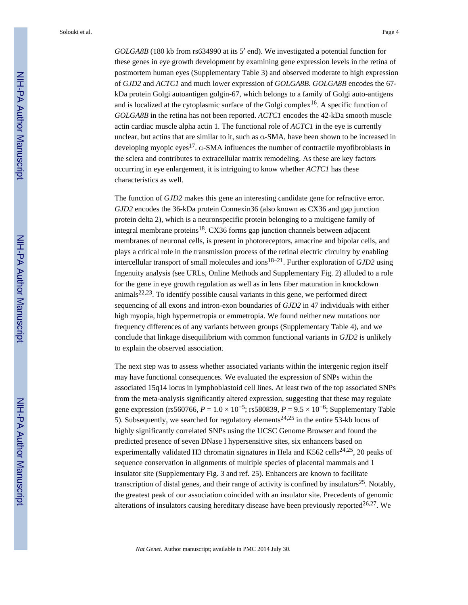*GOLGA8B* (180 kb from rs634990 at its 5′ end). We investigated a potential function for these genes in eye growth development by examining gene expression levels in the retina of postmortem human eyes (Supplementary Table 3) and observed moderate to high expression of *GJD2* and *ACTC1* and much lower expression of *GOLGA8B*. *GOLGA8B* encodes the 67 kDa protein Golgi autoantigen golgin-67, which belongs to a family of Golgi auto-antigens and is localized at the cytoplasmic surface of the Golgi complex<sup>16</sup>. A specific function of *GOLGA8B* in the retina has not been reported. *ACTC1* encodes the 42-kDa smooth muscle actin cardiac muscle alpha actin 1. The functional role of *ACTC1* in the eye is currently unclear, but actins that are similar to it, such as α-SMA, have been shown to be increased in developing myopic eyes<sup>17</sup>. α-SMA influences the number of contractile myofibroblasts in the sclera and contributes to extracellular matrix remodeling. As these are key factors occurring in eye enlargement, it is intriguing to know whether *ACTC1* has these characteristics as well.

The function of *GJD2* makes this gene an interesting candidate gene for refractive error. *GJD2* encodes the 36-kDa protein Connexin36 (also known as CX36 and gap junction protein delta 2), which is a neuronspecific protein belonging to a multigene family of integral membrane proteins<sup>18</sup>. CX36 forms gap junction channels between adjacent membranes of neuronal cells, is present in photoreceptors, amacrine and bipolar cells, and plays a critical role in the transmission process of the retinal electric circuitry by enabling intercellular transport of small molecules and ions18–21. Further exploration of *GJD2* using Ingenuity analysis (see URLs, Online Methods and Supplementary Fig. 2) alluded to a role for the gene in eye growth regulation as well as in lens fiber maturation in knockdown animals<sup>22,23</sup>. To identify possible causal variants in this gene, we performed direct sequencing of all exons and intron-exon boundaries of *GJD2* in 47 individuals with either high myopia, high hypermetropia or emmetropia. We found neither new mutations nor frequency differences of any variants between groups (Supplementary Table 4), and we conclude that linkage disequilibrium with common functional variants in *GJD2* is unlikely to explain the observed association.

The next step was to assess whether associated variants within the intergenic region itself may have functional consequences. We evaluated the expression of SNPs within the associated 15q14 locus in lymphoblastoid cell lines. At least two of the top associated SNPs from the meta-analysis significantly altered expression, suggesting that these may regulate gene expression (rs560766,  $P = 1.0 \times 10^{-5}$ ; rs580839,  $P = 9.5 \times 10^{-6}$ ; Supplementary Table 5). Subsequently, we searched for regulatory elements<sup>24,25</sup> in the entire 53-kb locus of highly significantly correlated SNPs using the UCSC Genome Browser and found the predicted presence of seven DNase I hypersensitive sites, six enhancers based on experimentally validated H3 chromatin signatures in Hela and K562 cells<sup>24,25</sup>, 20 peaks of sequence conservation in alignments of multiple species of placental mammals and 1 insulator site (Supplementary Fig. 3 and ref. 25). Enhancers are known to facilitate transcription of distal genes, and their range of activity is confined by insulators<sup>25</sup>. Notably, the greatest peak of our association coincided with an insulator site. Precedents of genomic alterations of insulators causing hereditary disease have been previously reported $26,27$ . We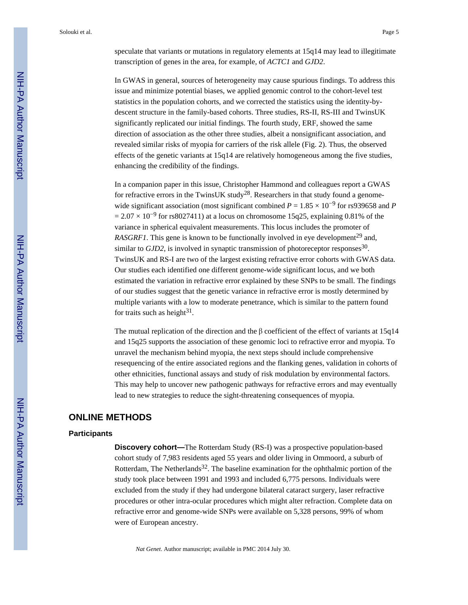speculate that variants or mutations in regulatory elements at 15q14 may lead to illegitimate transcription of genes in the area, for example, of *ACTC1* and *GJD2*.

In GWAS in general, sources of heterogeneity may cause spurious findings. To address this issue and minimize potential biases, we applied genomic control to the cohort-level test statistics in the population cohorts, and we corrected the statistics using the identity-bydescent structure in the family-based cohorts. Three studies, RS-II, RS-III and TwinsUK significantly replicated our initial findings. The fourth study, ERF, showed the same direction of association as the other three studies, albeit a nonsignificant association, and revealed similar risks of myopia for carriers of the risk allele (Fig. 2). Thus, the observed effects of the genetic variants at 15q14 are relatively homogeneous among the five studies, enhancing the credibility of the findings.

In a companion paper in this issue, Christopher Hammond and colleagues report a GWAS for refractive errors in the TwinsUK study<sup>28</sup>. Researchers in that study found a genomewide significant association (most significant combined  $P = 1.85 \times 10^{-9}$  for rs939658 and *P*  $= 2.07 \times 10^{-9}$  for rs8027411) at a locus on chromosome 15q25, explaining 0.81% of the variance in spherical equivalent measurements. This locus includes the promoter of *RASGRF1*. This gene is known to be functionally involved in eye development<sup>29</sup> and, similar to  $GJD2$ , is involved in synaptic transmission of photoreceptor responses<sup>30</sup>. TwinsUK and RS-I are two of the largest existing refractive error cohorts with GWAS data. Our studies each identified one different genome-wide significant locus, and we both estimated the variation in refractive error explained by these SNPs to be small. The findings of our studies suggest that the genetic variance in refractive error is mostly determined by multiple variants with a low to moderate penetrance, which is similar to the pattern found for traits such as height $31$ .

The mutual replication of the direction and the  $\beta$  coefficient of the effect of variants at 15q14 and 15q25 supports the association of these genomic loci to refractive error and myopia. To unravel the mechanism behind myopia, the next steps should include comprehensive resequencing of the entire associated regions and the flanking genes, validation in cohorts of other ethnicities, functional assays and study of risk modulation by environmental factors. This may help to uncover new pathogenic pathways for refractive errors and may eventually lead to new strategies to reduce the sight-threatening consequences of myopia.

# **ONLINE METHODS**

#### **Participants**

**Discovery cohort—**The Rotterdam Study (RS-I) was a prospective population-based cohort study of 7,983 residents aged 55 years and older living in Ommoord, a suburb of Rotterdam, The Netherlands<sup>32</sup>. The baseline examination for the ophthalmic portion of the study took place between 1991 and 1993 and included 6,775 persons. Individuals were excluded from the study if they had undergone bilateral cataract surgery, laser refractive procedures or other intra-ocular procedures which might alter refraction. Complete data on refractive error and genome-wide SNPs were available on 5,328 persons, 99% of whom were of European ancestry.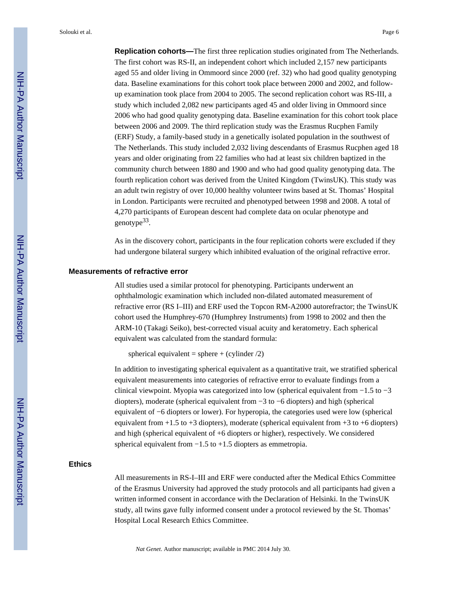Solouki et al. Page 6

**Replication cohorts—**The first three replication studies originated from The Netherlands. The first cohort was RS-II, an independent cohort which included 2,157 new participants aged 55 and older living in Ommoord since 2000 (ref. 32) who had good quality genotyping data. Baseline examinations for this cohort took place between 2000 and 2002, and followup examination took place from 2004 to 2005. The second replication cohort was RS-III, a study which included 2,082 new participants aged 45 and older living in Ommoord since 2006 who had good quality genotyping data. Baseline examination for this cohort took place between 2006 and 2009. The third replication study was the Erasmus Rucphen Family (ERF) Study, a family-based study in a genetically isolated population in the southwest of The Netherlands. This study included 2,032 living descendants of Erasmus Rucphen aged 18 years and older originating from 22 families who had at least six children baptized in the community church between 1880 and 1900 and who had good quality genotyping data. The fourth replication cohort was derived from the United Kingdom (TwinsUK). This study was an adult twin registry of over 10,000 healthy volunteer twins based at St. Thomas' Hospital in London. Participants were recruited and phenotyped between 1998 and 2008. A total of 4,270 participants of European descent had complete data on ocular phenotype and genotype<sup>33</sup>.

As in the discovery cohort, participants in the four replication cohorts were excluded if they had undergone bilateral surgery which inhibited evaluation of the original refractive error.

#### **Measurements of refractive error**

All studies used a similar protocol for phenotyping. Participants underwent an ophthalmologic examination which included non-dilated automated measurement of refractive error (RS I–III) and ERF used the Topcon RM-A2000 autorefractor; the TwinsUK cohort used the Humphrey-670 (Humphrey Instruments) from 1998 to 2002 and then the ARM-10 (Takagi Seiko), best-corrected visual acuity and keratometry. Each spherical equivalent was calculated from the standard formula:

spherical equivalent = sphere + (cylinder  $/2$ )

In addition to investigating spherical equivalent as a quantitative trait, we stratified spherical equivalent measurements into categories of refractive error to evaluate findings from a clinical viewpoint. Myopia was categorized into low (spherical equivalent from −1.5 to −3 diopters), moderate (spherical equivalent from −3 to −6 diopters) and high (spherical equivalent of −6 diopters or lower). For hyperopia, the categories used were low (spherical equivalent from  $+1.5$  to  $+3$  diopters), moderate (spherical equivalent from  $+3$  to  $+6$  diopters) and high (spherical equivalent of +6 diopters or higher), respectively. We considered spherical equivalent from −1.5 to +1.5 diopters as emmetropia.

## **Ethics**

All measurements in RS-I–III and ERF were conducted after the Medical Ethics Committee of the Erasmus University had approved the study protocols and all participants had given a written informed consent in accordance with the Declaration of Helsinki. In the TwinsUK study, all twins gave fully informed consent under a protocol reviewed by the St. Thomas' Hospital Local Research Ethics Committee.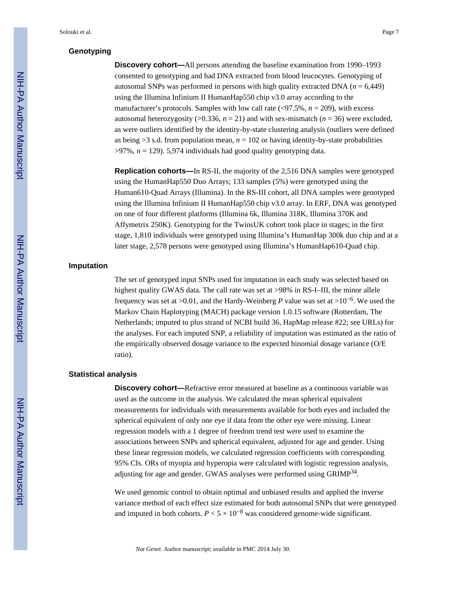# **Genotyping**

**Discovery cohort—**All persons attending the baseline examination from 1990–1993 consented to genotyping and had DNA extracted from blood leucocytes. Genotyping of autosomal SNPs was performed in persons with high quality extracted DNA (*n* = 6,449) using the Illumina Infinium II HumanHap550 chip v3.0 array according to the manufacturer's protocols. Samples with low call rate (<97.5%, *n* = 209), with excess autosomal heterozygosity ( $>0.336$ ,  $n = 21$ ) and with sex-mismatch ( $n = 36$ ) were excluded, as were outliers identified by the identity-by-state clustering analysis (outliers were defined as being  $>3$  s.d. from population mean,  $n = 102$  or having identity-by-state probabilities  $>97\%$ ,  $n = 129$ ). 5,974 individuals had good quality genotyping data.

**Replication cohorts—**In RS-II, the majority of the 2,516 DNA samples were genotyped using the HumanHap550 Duo Arrays; 133 samples (5%) were genotyped using the Human610-Quad Arrays (Illumina). In the RS-III cohort, all DNA samples were genotyped using the Illumina Infinium II HumanHap550 chip v3.0 array. In ERF, DNA was genotyped on one of four different platforms (Illumina 6k, Illumina 318K, Illumina 370K and Affymetrix 250K). Genotyping for the TwinsUK cohort took place in stages; in the first stage, 1,810 individuals were genotyped using Illumina's HumanHap 300k duo chip and at a later stage, 2,578 persons were genotyped using Illumina's HumanHap610-Quad chip.

#### **Imputation**

The set of genotyped input SNPs used for imputation in each study was selected based on highest quality GWAS data. The call rate was set at >98% in RS-I–III, the minor allele frequency was set at >0.01, and the Hardy-Weinberg *P* value was set at >10−6. We used the Markov Chain Haplotyping (MACH) package version 1.0.15 software (Rotterdam, The Netherlands; imputed to plus strand of NCBI build 36, HapMap release #22; see URLs) for the analyses. For each imputed SNP, a reliability of imputation was estimated as the ratio of the empirically observed dosage variance to the expected binomial dosage variance (O/E ratio).

#### **Statistical analysis**

**Discovery cohort—**Refractive error measured at baseline as a continuous variable was used as the outcome in the analysis. We calculated the mean spherical equivalent measurements for individuals with measurements available for both eyes and included the spherical equivalent of only one eye if data from the other eye were missing. Linear regression models with a 1 degree of freedom trend test were used to examine the associations between SNPs and spherical equivalent, adjusted for age and gender. Using these linear regression models, we calculated regression coefficients with corresponding 95% CIs. ORs of myopia and hyperopia were calculated with logistic regression analysis, adjusting for age and gender. GWAS analyses were performed using GRIMP<sup>34</sup>.

We used genomic control to obtain optimal and unbiased results and applied the inverse variance method of each effect size estimated for both autosomal SNPs that were genotyped and imputed in both cohorts.  $P < 5 \times 10^{-8}$  was considered genome-wide significant.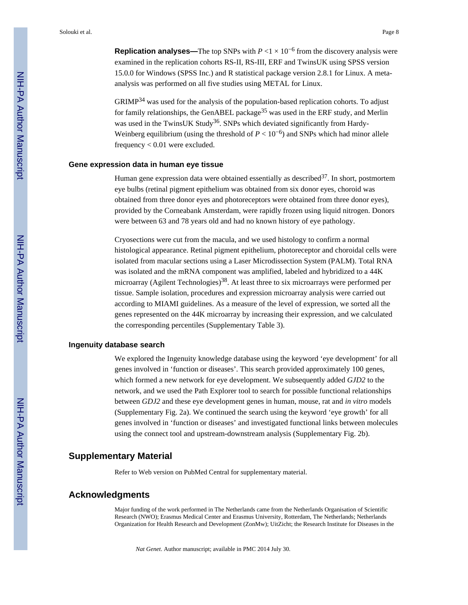**Replication analyses—The top SNPs with**  $P \le 1 \times 10^{-6}$  **from the discovery analysis were** examined in the replication cohorts RS-II, RS-III, ERF and TwinsUK using SPSS version 15.0.0 for Windows (SPSS Inc.) and R statistical package version 2.8.1 for Linux. A metaanalysis was performed on all five studies using METAL for Linux.

GRIMP34 was used for the analysis of the population-based replication cohorts. To adjust for family relationships, the GenABEL package<sup>35</sup> was used in the ERF study, and Merlin was used in the TwinsUK Study<sup>36</sup>. SNPs which deviated significantly from Hardy-Weinberg equilibrium (using the threshold of  $P < 10^{-6}$ ) and SNPs which had minor allele frequency < 0.01 were excluded.

#### **Gene expression data in human eye tissue**

Human gene expression data were obtained essentially as described<sup>37</sup>. In short, postmortem eye bulbs (retinal pigment epithelium was obtained from six donor eyes, choroid was obtained from three donor eyes and photoreceptors were obtained from three donor eyes), provided by the Corneabank Amsterdam, were rapidly frozen using liquid nitrogen. Donors were between 63 and 78 years old and had no known history of eye pathology.

Cryosections were cut from the macula, and we used histology to confirm a normal histological appearance. Retinal pigment epithelium, photoreceptor and choroidal cells were isolated from macular sections using a Laser Microdissection System (PALM). Total RNA was isolated and the mRNA component was amplified, labeled and hybridized to a 44K microarray (Agilent Technologies)<sup>38</sup>. At least three to six microarrays were performed per tissue. Sample isolation, procedures and expression microarray analysis were carried out according to MIAMI guidelines. As a measure of the level of expression, we sorted all the genes represented on the 44K microarray by increasing their expression, and we calculated the corresponding percentiles (Supplementary Table 3).

#### **Ingenuity database search**

We explored the Ingenuity knowledge database using the keyword 'eye development' for all genes involved in 'function or diseases'. This search provided approximately 100 genes, which formed a new network for eye development. We subsequently added *GJD2* to the network, and we used the Path Explorer tool to search for possible functional relationships between *GDJ2* and these eye development genes in human, mouse, rat and *in vitro* models (Supplementary Fig. 2a). We continued the search using the keyword 'eye growth' for all genes involved in 'function or diseases' and investigated functional links between molecules using the connect tool and upstream-downstream analysis (Supplementary Fig. 2b).

# **Supplementary Material**

Refer to Web version on PubMed Central for supplementary material.

## **Acknowledgments**

Major funding of the work performed in The Netherlands came from the Netherlands Organisation of Scientific Research (NWO); Erasmus Medical Center and Erasmus University, Rotterdam, The Netherlands; Netherlands Organization for Health Research and Development (ZonMw); UitZicht; the Research Institute for Diseases in the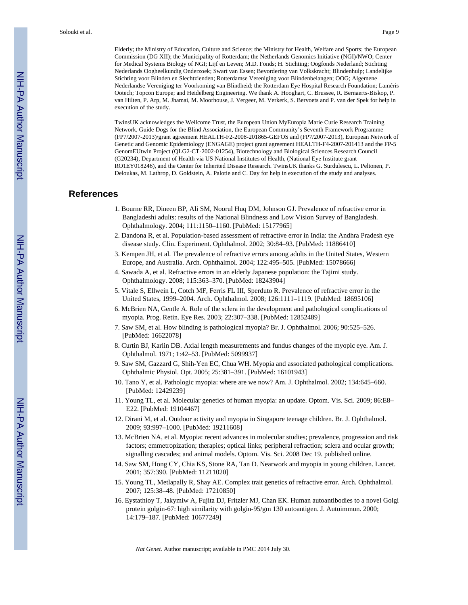Elderly; the Ministry of Education, Culture and Science; the Ministry for Health, Welfare and Sports; the European Commission (DG XII); the Municipality of Rotterdam; the Netherlands Genomics Initiative (NGI)/NWO; Center for Medical Systems Biology of NGI; Lijf en Leven; M.D. Fonds; H. Stichting; Oogfonds Nederland; Stichting Nederlands Oogheelkundig Onderzoek; Swart van Essen; Bevordering van Volkskracht; Blindenhulp; Landelijke Stichting voor Blinden en Slechtzienden; Rotterdamse Vereniging voor Blindenbelangen; OOG; Algemene Nederlandse Vereniging ter Voorkoming van Blindheid; the Rotterdam Eye Hospital Research Foundation; Laméris Ootech; Topcon Europe; and Heidelberg Engineering. We thank A. Hooghart, C. Brussee, R. Bernaerts-Biskop, P. van Hilten, P. Arp, M. Jhamai, M. Moorhouse, J. Vergeer, M. Verkerk, S. Bervoets and P. van der Spek for help in execution of the study.

TwinsUK acknowledges the Wellcome Trust, the European Union MyEuropia Marie Curie Research Training Network, Guide Dogs for the Blind Association, the European Community's Seventh Framework Programme (FP7/2007-2013)/grant agreement HEALTH-F2-2008-201865-GEFOS and (FP7/2007-2013), European Network of Genetic and Genomic Epidemiology (ENGAGE) project grant agreement HEALTH-F4-2007-201413 and the FP-5 GenomEUtwin Project (QLG2-CT-2002-01254), Biotechnology and Biological Sciences Research Council (G20234), Department of Health via US National Institutes of Health, (National Eye Institute grant RO1EY018246), and the Center for Inherited Disease Research. TwinsUK thanks G. Surdulescu, L. Peltonen, P. Deloukas, M. Lathrop, D. Goldstein, A. Palotie and C. Day for help in execution of the study and analyses.

# **References**

- 1. Bourne RR, Dineen BP, Ali SM, Noorul Huq DM, Johnson GJ. Prevalence of refractive error in Bangladeshi adults: results of the National Blindness and Low Vision Survey of Bangladesh. Ophthalmology. 2004; 111:1150–1160. [PubMed: 15177965]
- 2. Dandona R, et al. Population-based assessment of refractive error in India: the Andhra Pradesh eye disease study. Clin. Experiment. Ophthalmol. 2002; 30:84–93. [PubMed: 11886410]
- 3. Kempen JH, et al. The prevalence of refractive errors among adults in the United States, Western Europe, and Australia. Arch. Ophthalmol. 2004; 122:495–505. [PubMed: 15078666]
- 4. Sawada A, et al. Refractive errors in an elderly Japanese population: the Tajimi study. Ophthalmology. 2008; 115:363–370. [PubMed: 18243904]
- 5. Vitale S, Ellwein L, Cotch MF, Ferris FL III, Sperduto R. Prevalence of refractive error in the United States, 1999–2004. Arch. Ophthalmol. 2008; 126:1111–1119. [PubMed: 18695106]
- 6. McBrien NA, Gentle A. Role of the sclera in the development and pathological complications of myopia. Prog. Retin. Eye Res. 2003; 22:307–338. [PubMed: 12852489]
- 7. Saw SM, et al. How blinding is pathological myopia? Br. J. Ophthalmol. 2006; 90:525–526. [PubMed: 16622078]
- 8. Curtin BJ, Karlin DB. Axial length measurements and fundus changes of the myopic eye. Am. J. Ophthalmol. 1971; 1:42–53. [PubMed: 5099937]
- 9. Saw SM, Gazzard G, Shih-Yen EC, Chua WH. Myopia and associated pathological complications. Ophthalmic Physiol. Opt. 2005; 25:381–391. [PubMed: 16101943]
- 10. Tano Y, et al. Pathologic myopia: where are we now? Am. J. Ophthalmol. 2002; 134:645–660. [PubMed: 12429239]
- 11. Young TL, et al. Molecular genetics of human myopia: an update. Optom. Vis. Sci. 2009; 86:E8– E22. [PubMed: 19104467]
- 12. Dirani M, et al. Outdoor activity and myopia in Singapore teenage children. Br. J. Ophthalmol. 2009; 93:997–1000. [PubMed: 19211608]
- 13. McBrien NA, et al. Myopia: recent advances in molecular studies; prevalence, progression and risk factors; emmetropization; therapies; optical links; peripheral refraction; sclera and ocular growth; signalling cascades; and animal models. Optom. Vis. Sci. 2008 Dec 19. published online.
- 14. Saw SM, Hong CY, Chia KS, Stone RA, Tan D. Nearwork and myopia in young children. Lancet. 2001; 357:390. [PubMed: 11211020]
- 15. Young TL, Metlapally R, Shay AE. Complex trait genetics of refractive error. Arch. Ophthalmol. 2007; 125:38–48. [PubMed: 17210850]
- 16. Eystathioy T, Jakymiw A, Fujita DJ, Fritzler MJ, Chan EK. Human autoantibodies to a novel Golgi protein golgin-67: high similarity with golgin-95/gm 130 autoantigen. J. Autoimmun. 2000; 14:179–187. [PubMed: 10677249]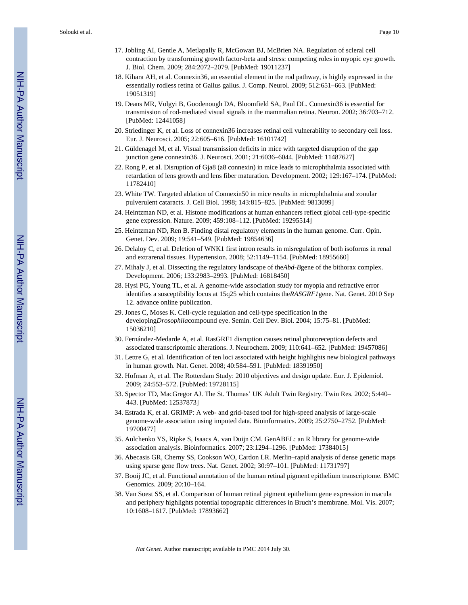- 17. Jobling AI, Gentle A, Metlapally R, McGowan BJ, McBrien NA. Regulation of scleral cell contraction by transforming growth factor-beta and stress: competing roles in myopic eye growth. J. Biol. Chem. 2009; 284:2072–2079. [PubMed: 19011237]
- 18. Kihara AH, et al. Connexin36, an essential element in the rod pathway, is highly expressed in the essentially rodless retina of Gallus gallus. J. Comp. Neurol. 2009; 512:651–663. [PubMed: 19051319]
- 19. Deans MR, Volgyi B, Goodenough DA, Bloomfield SA, Paul DL. Connexin36 is essential for transmission of rod-mediated visual signals in the mammalian retina. Neuron. 2002; 36:703–712. [PubMed: 12441058]
- 20. Striedinger K, et al. Loss of connexin36 increases retinal cell vulnerability to secondary cell loss. Eur. J. Neurosci. 2005; 22:605–616. [PubMed: 16101742]
- 21. Güldenagel M, et al. Visual transmission deficits in mice with targeted disruption of the gap junction gene connexin36. J. Neurosci. 2001; 21:6036–6044. [PubMed: 11487627]
- 22. Rong P, et al. Disruption of Gja8 (a8 connexin) in mice leads to microphthalmia associated with retardation of lens growth and lens fiber maturation. Development. 2002; 129:167–174. [PubMed: 11782410]
- 23. White TW. Targeted ablation of Connexin50 in mice results in microphthalmia and zonular pulverulent cataracts. J. Cell Biol. 1998; 143:815–825. [PubMed: 9813099]
- 24. Heintzman ND, et al. Histone modifications at human enhancers reflect global cell-type-specific gene expression. Nature. 2009; 459:108–112. [PubMed: 19295514]
- 25. Heintzman ND, Ren B. Finding distal regulatory elements in the human genome. Curr. Opin. Genet. Dev. 2009; 19:541–549. [PubMed: 19854636]
- 26. Delaloy C, et al. Deletion of WNK1 first intron results in misregulation of both isoforms in renal and extrarenal tissues. Hypertension. 2008; 52:1149–1154. [PubMed: 18955660]
- 27. Mihaly J, et al. Dissecting the regulatory landscape of the*Abd-B*gene of the bithorax complex. Development. 2006; 133:2983–2993. [PubMed: 16818450]
- 28. Hysi PG, Young TL, et al. A genome-wide association study for myopia and refractive error identifies a susceptibility locus at 15q25 which contains the*RASGRF1*gene. Nat. Genet. 2010 Sep 12. advance online publication.
- 29. Jones C, Moses K. Cell-cycle regulation and cell-type specification in the developing*Drosophila*compound eye. Semin. Cell Dev. Biol. 2004; 15:75–81. [PubMed: 15036210]
- 30. Fernández-Medarde A, et al. RasGRF1 disruption causes retinal photoreception defects and associated transcriptomic alterations. J. Neurochem. 2009; 110:641–652. [PubMed: 19457086]
- 31. Lettre G, et al. Identification of ten loci associated with height highlights new biological pathways in human growth. Nat. Genet. 2008; 40:584–591. [PubMed: 18391950]
- 32. Hofman A, et al. The Rotterdam Study: 2010 objectives and design update. Eur. J. Epidemiol. 2009; 24:553–572. [PubMed: 19728115]
- 33. Spector TD, MacGregor AJ. The St. Thomas' UK Adult Twin Registry. Twin Res. 2002; 5:440– 443. [PubMed: 12537873]
- 34. Estrada K, et al. GRIMP: A web- and grid-based tool for high-speed analysis of large-scale genome-wide association using imputed data. Bioinformatics. 2009; 25:2750–2752. [PubMed: 19700477]
- 35. Aulchenko YS, Ripke S, Isaacs A, van Duijn CM. GenABEL: an R library for genome-wide association analysis. Bioinformatics. 2007; 23:1294–1296. [PubMed: 17384015]
- 36. Abecasis GR, Cherny SS, Cookson WO, Cardon LR. Merlin–rapid analysis of dense genetic maps using sparse gene flow trees. Nat. Genet. 2002; 30:97–101. [PubMed: 11731797]
- 37. Booij JC, et al. Functional annotation of the human retinal pigment epithelium transcriptome. BMC Genomics. 2009; 20:10–164.
- 38. Van Soest SS, et al. Comparison of human retinal pigment epithelium gene expression in macula and periphery highlights potential topographic differences in Bruch's membrane. Mol. Vis. 2007; 10:1608–1617. [PubMed: 17893662]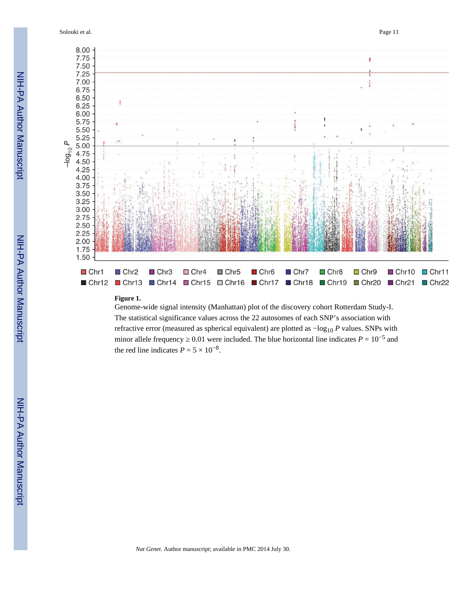Solouki et al. Page 11



#### **Figure 1.**

Genome-wide signal intensity (Manhattan) plot of the discovery cohort Rotterdam Study-I. The statistical significance values across the 22 autosomes of each SNP's association with refractive error (measured as spherical equivalent) are plotted as  $-\log_{10} P$  values. SNPs with minor allele frequency  $0.01$  were included. The blue horizontal line indicates  $P = 10^{-5}$  and the red line indicates  $P = 5 \times 10^{-8}$ .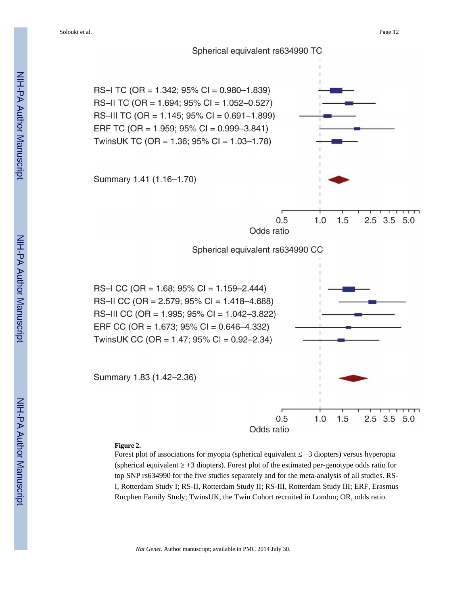

#### **Figure 2.**

Forest plot of associations for myopia (spherical equivalent ≤ −3 diopters) versus hyperopia (spherical equivalent ≥ +3 diopters). Forest plot of the estimated per-genotype odds ratio for top SNP rs634990 for the five studies separately and for the meta-analysis of all studies. RS-I, Rotterdam Study I; RS-II, Rotterdam Study II; RS-III, Rotterdam Study III; ERF, Erasmus Rucphen Family Study; TwinsUK, the Twin Cohort recruited in London; OR, odds ratio.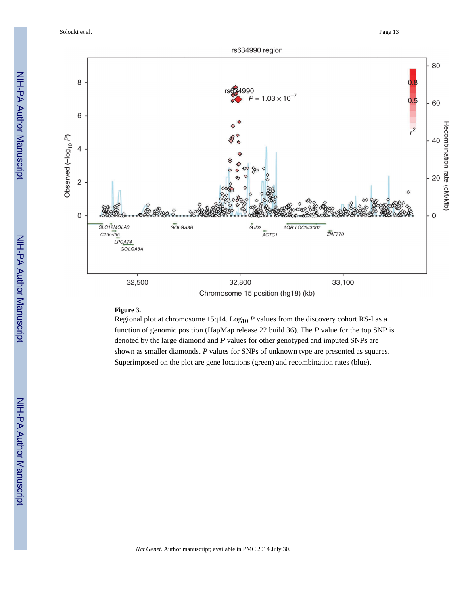Solouki et al. Page 13



#### **Figure 3.**

Regional plot at chromosome 15q14. Log<sub>10</sub>  $P$  values from the discovery cohort RS-I as a function of genomic position (HapMap release 22 build 36). The *P* value for the top SNP is denoted by the large diamond and *P* values for other genotyped and imputed SNPs are shown as smaller diamonds. *P* values for SNPs of unknown type are presented as squares. Superimposed on the plot are gene locations (green) and recombination rates (blue).